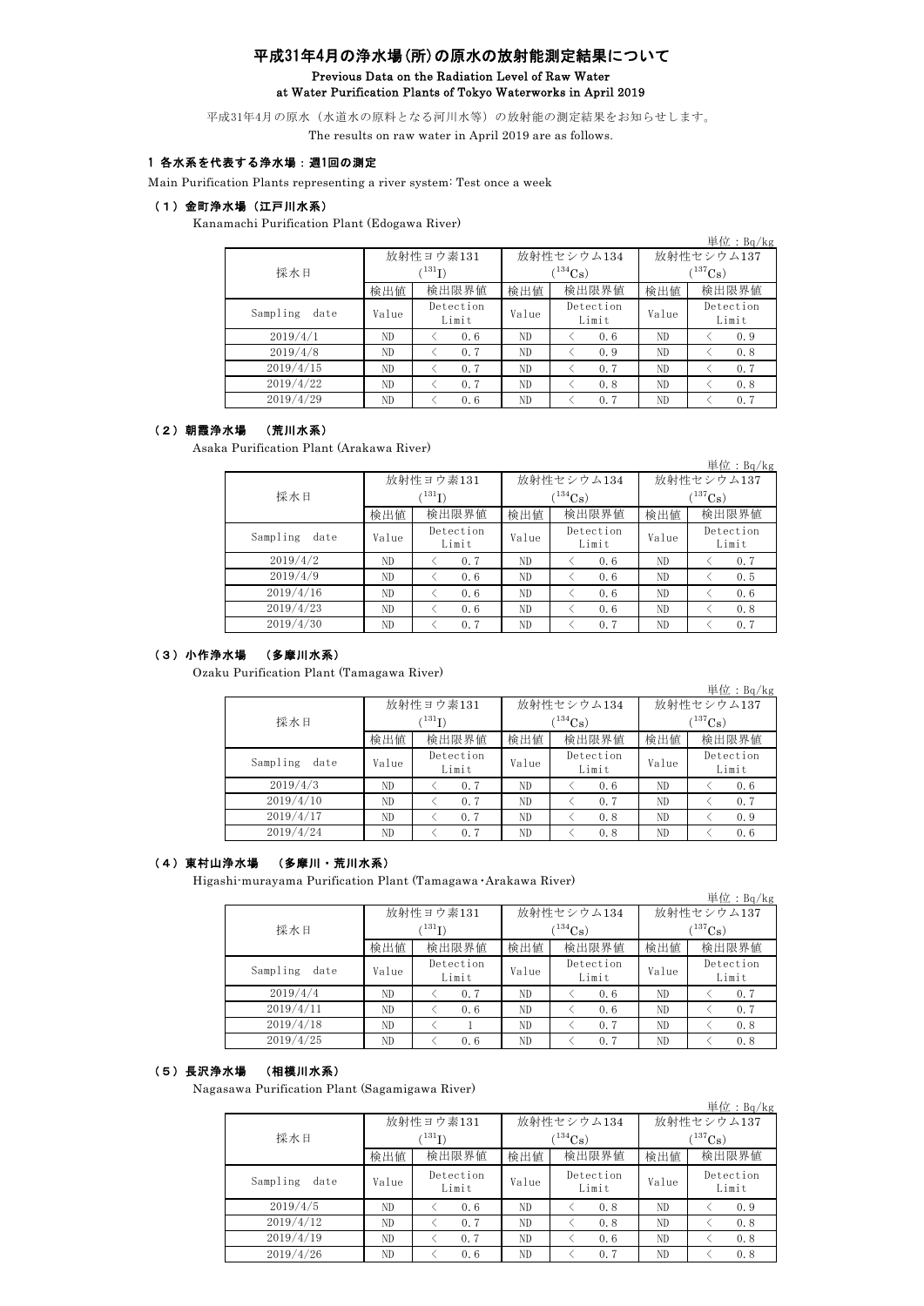# 平成31年4月の浄水場(所)の原水の放射能測定結果について Previous Data on the Radiation Level of Raw Water at Water Purification Plants of Tokyo Waterworks in April 2019

平成31年4月の原水(水道水の原料となる河川水等)の放射能の測定結果をお知らせします。 The results on raw water in April 2019 are as follows.

### 1 各水系を代表する浄水場:週1回の測定

Main Purification Plants representing a river system: Test once a week

#### (1)金町浄水場(江戸川水系)

Kanamachi Purification Plant (Edogawa River)

|                  |       |                    |       |                    |              | 単位: $Bq/kg$        |  |
|------------------|-------|--------------------|-------|--------------------|--------------|--------------------|--|
|                  |       | 放射性ヨウ素131          |       | 放射性セシウム134         |              | 放射性セシウム137         |  |
| 採水日              | (131) |                    |       | $(^{134}Cs)$       | $(^{137}Cs)$ |                    |  |
|                  | 検出値   | 検出限界値              | 検出値   | 検出限界値              | 検出値          | 検出限界値              |  |
| Sampling<br>date | Value | Detection<br>Limit | Value | Detection<br>Limit | Value        | Detection<br>Limit |  |
| 2019/4/1         | ND.   | 0.6                | ND    | 0.6                | ND.          | 0.9                |  |
| 2019/4/8         | ND    | 0.7                | ND    | 0.9                | ND.          | 0.8                |  |
| 2019/4/15        | ND.   | 0.7                | ND    | 0.7                | ND.          | 0.7                |  |
| 2019/4/22        | ND    | 0.7                | ND    | 0.8                | ND.          | 0.8                |  |
| 2019/4/29        | ND    | 0.6                | ND    | 0.7                | ND           | 0.7                |  |

#### (2)朝霞浄水場 (荒川水系)

Asaka Purification Plant (Arakawa River)

|                  |       |                    |       |                    |            | $\vert \mathcal{H} \mathcal{L}$ : Bq/kg |  |
|------------------|-------|--------------------|-------|--------------------|------------|-----------------------------------------|--|
|                  |       | 放射性ヨウ素131          |       | 放射性セシウム134         | 放射性セシウム137 |                                         |  |
| 採水日              |       | (131)              |       | $T^{134}$ Cs)      |            | $(^{137}Cs)$                            |  |
|                  | 検出値   | 検出限界値              | 検出値   | 検出限界値<br>検出値       | 検出限界値      |                                         |  |
| Sampling<br>date | Value | Detection<br>Limit | Value | Detection<br>Limit | Value      | Detection<br>Limit                      |  |
| 2019/4/2         | ND    | 0.7                | ND    | 0.6                | ND         | 0.7                                     |  |
| 2019/4/9         | ND    | 0.6                | ND    | 0.6                | ND         | 0.5                                     |  |
| 2019/4/16        | ND    | 0.6                | ND    | 0.6                | ND         | 0.6                                     |  |
| 2019/4/23        | ND    | 0.6                | ND    | 0.6                | ND         | 0.8                                     |  |
| 2019/4/30        | ND.   | 0.7                | ND    | 0.7                | ND         | 0.7                                     |  |

## (3)小作浄水場 (多摩川水系)

Ozaku Purification Plant (Tamagawa River)

|                  |       |                    |       |                          |             | 単位: $Bq/kg$        |  |
|------------------|-------|--------------------|-------|--------------------------|-------------|--------------------|--|
|                  |       | 放射性ヨウ素131          |       | 放射性セシウム134               | 放射性セシウム137  |                    |  |
| 採水日              |       | $^{131}$ I)        |       | $\binom{134}{\text{Cs}}$ | $(137)$ Cs) |                    |  |
|                  | 検出値   | 検出限界値              | 検出値   | 検出限界値                    | 検出値         | 検出限界値              |  |
| Sampling<br>date | Value | Detection<br>Limit | Value | Detection<br>Limit       |             | Detection<br>Limit |  |
| 2019/4/3         | ND    | 0.7                | ND    | 0.6                      | ND          | 0.6                |  |
| 2019/4/10        | ND    | 0.7                | ND    | 0.7                      | ND          | 0.7                |  |
| 2019/4/17        | ND.   | 0.7                | ND.   | 0.8                      | ND.         | 0.9                |  |
| 2019/4/24        | ND    | 0.7                | ND    | 0.8                      | ND.         | 0.6                |  |

## (4)東村山浄水場 (多摩川・荒川水系)

Higashi-murayama Purification Plant (Tamagawa・Arakawa River)

|                  |       |                    |       |                    |                       | 単位: $Bq/kg$        |  |
|------------------|-------|--------------------|-------|--------------------|-----------------------|--------------------|--|
|                  |       | 放射性ヨウ素131          |       | 放射性セシウム134         | 放射性セシウム137            |                    |  |
| 採水日              |       | $^{131}$ I)        |       | $^{134}Cs$ )       | $(^{137}\mathrm{Cs})$ |                    |  |
|                  | 検出値   | 検出限界値              | 検出値   | 検出限界値              | 検出値                   | 検出限界値              |  |
| Sampling<br>date | Value | Detection<br>Limit | Value | Detection<br>Limit | Value                 | Detection<br>Limit |  |
| 2019/4/4         | ND    | 0.7                | ND    | 0.6                | ND.                   | 0.7                |  |
| 2019/4/11        | ND.   | 0.6                | ND    | 0.6                | ND.                   | 0.7                |  |
| 2019/4/18        | ND    |                    | ND    | 0.7                | ND                    | 0.8                |  |
| 2019/4/25        | ND    | 0.6                | ND    | 0.7                | ND                    | 0.8                |  |

### (5)長沢浄水場 (相模川水系)

Nagasawa Purification Plant (Sagamigawa River)

|                  |       |                                         |                             |            |              | 単位: $Bq/kg$        |  |  |
|------------------|-------|-----------------------------------------|-----------------------------|------------|--------------|--------------------|--|--|
|                  |       | 放射性ヨウ素131                               |                             | 放射性セシウム134 |              | 放射性セシウム137         |  |  |
| 採水日              |       | $\binom{134}{\text{Cs}}$<br>$^{131}$ I) |                             |            | $(^{137}Cs)$ |                    |  |  |
|                  | 検出値   | 検出限界値                                   | 検出値                         | 検出限界値      | 検出値          | 検出限界値              |  |  |
| Sampling<br>date | Value | Detection<br>Limit                      | Detection<br>Value<br>Limit |            | Value        | Detection<br>Limit |  |  |
| 2019/4/5         | ND.   | 0.6                                     | ND.                         | 0.8        | ND.          | 0.9                |  |  |
| 2019/4/12        | ND.   | 0.7                                     | ND                          | 0.8        | ND.          | 0.8                |  |  |
| 2019/4/19        | ND    | 0.7                                     | ND                          | 0.6        | ND           | 0.8                |  |  |
| 2019/4/26        | ND    | 0.6                                     | ND                          | 0.7        | ND           | 0.8                |  |  |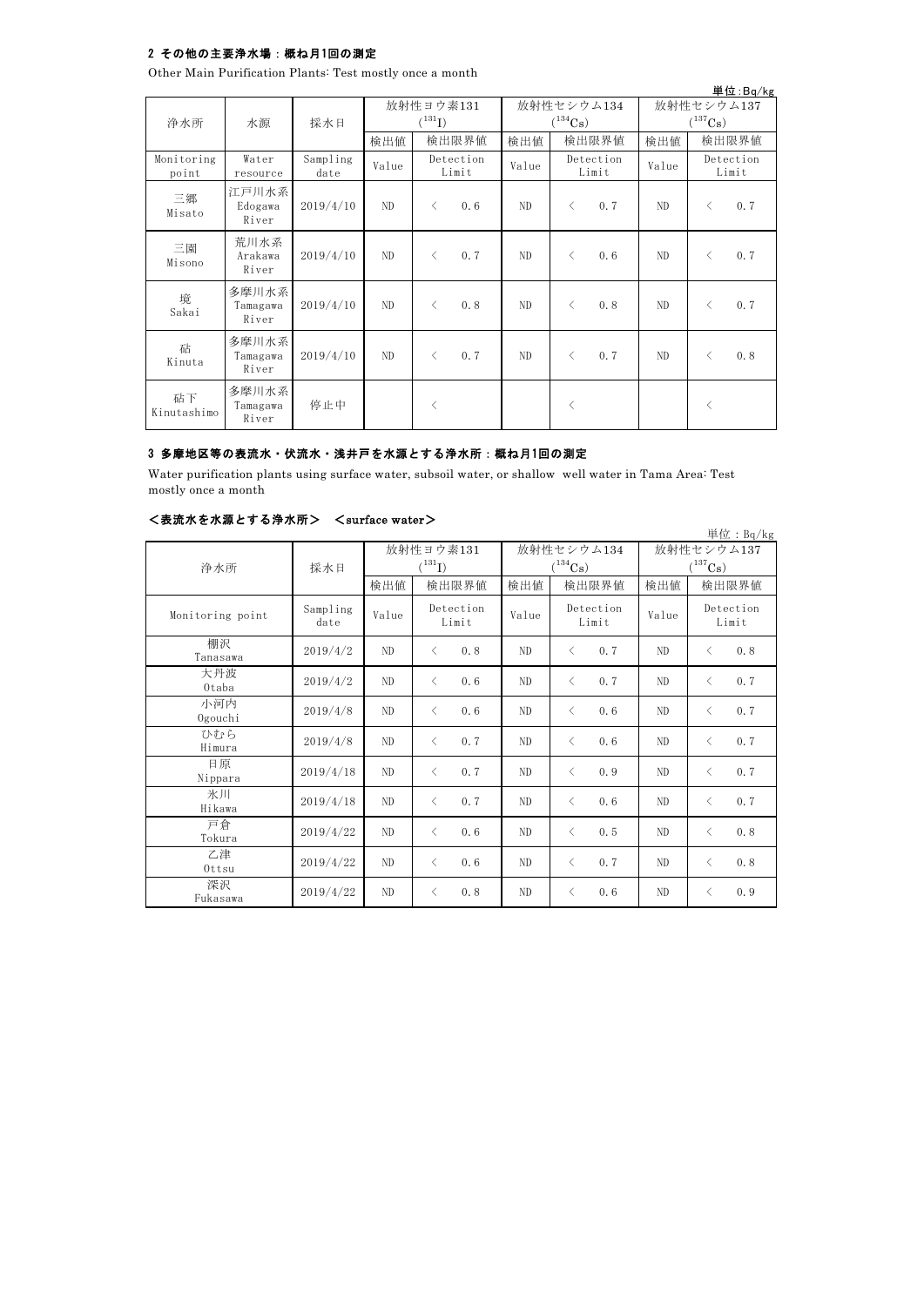## 2 その他の主要浄水場:概ね月1回の測定

Other Main Purification Plants: Test mostly once a month

|                     |                            |                  |       |                                   |                    |       |              |                    |       |              | 単位:Bq/kg           |
|---------------------|----------------------------|------------------|-------|-----------------------------------|--------------------|-------|--------------|--------------------|-------|--------------|--------------------|
| 浄水所                 | 水源                         | 採水日              |       | 放射性ヨウ素131<br>$({}^{131}\text{I})$ |                    |       | $(^{134}Cs)$ | 放射性セシウム134         |       | $(^{137}Cs)$ | 放射性セシウム137         |
|                     |                            |                  | 検出値   |                                   | 検出限界値              | 検出値   |              | 検出限界値              | 検出値   |              | 検出限界値              |
| Monitoring<br>point | Water<br>resource          | Sampling<br>date | Value |                                   | Detection<br>Limit | Value |              | Detection<br>Limit | Value |              | Detection<br>Limit |
| 三郷<br>Misato        | 江戸川水系<br>Edogawa<br>River  | 2019/4/10        | ND    | $\langle$                         | 0.6                | ND.   | $\langle$    | 0.7                | ND    | $\langle$    | 0.7                |
| 三園<br>Misono        | 荒川水系<br>Arakawa<br>River   | 2019/4/10        | ND.   | $\langle$                         | 0.7                | ND    | $\langle$    | 0.6                | ND    | $\langle$    | 0.7                |
| 境<br>Sakai          | 多摩川水系<br>Tamagawa<br>River | 2019/4/10        | ND.   | $\langle$                         | 0.8                | ND.   | $\langle$    | 0.8                | ND.   | $\lt$        | 0.7                |
| 砧<br>Kinuta         | 多摩川水系<br>Tamagawa<br>River | 2019/4/10        | ND.   | $\langle$                         | 0.7                | ND.   | $\langle$    | 0.7                | ND    | $\lt$        | 0.8                |
| 砧下<br>Kinutashimo   | 多摩川水系<br>Tamagawa<br>River | 停止中              |       | $\langle$                         |                    |       | $\langle$    |                    |       | $\lt$        |                    |

## 3 多摩地区等の表流水・伏流水・浅井戸を水源とする浄水所:概ね月1回の測定

Water purification plants using surface water, subsoil water, or shallow well water in Tama Area: Test mostly once a month

| <表流水を水源とする浄水所> | $\langle$ surface water $\rangle$ |
|----------------|-----------------------------------|
|----------------|-----------------------------------|

|                  |                  |                |                                           |       |                                     |                                     | 単位: Bq/kg          |
|------------------|------------------|----------------|-------------------------------------------|-------|-------------------------------------|-------------------------------------|--------------------|
| 浄水所              | 採水日              |                | 放射性ヨウ素131<br>$\mathcal{C}^{131}\text{I})$ |       | 放射性セシウム134<br>$(^{134}\mathrm{Cs})$ | 放射性セシウム137<br>$(^{137}\mathrm{Cs})$ |                    |
|                  |                  | 検出値            | 検出限界値                                     | 検出値   | 検出限界値                               | 検出値                                 | 検出限界値              |
| Monitoring point | Sampling<br>date | Value          | Detection<br>Limit                        | Value | Detection<br>Limit                  | Value                               | Detection<br>Limit |
| 棚沢<br>Tanasawa   | 2019/4/2         | N <sub>D</sub> | 0.8<br>$\langle$                          | ND    | 0.7<br>$\langle$                    | N <sub>D</sub>                      | 0.8<br>$\langle$   |
| 大丹波<br>Otaba     | 2019/4/2         | ND             | 0.6<br>$\langle$                          | ND    | 0.7<br>$\langle$                    | ND                                  | 0.7<br>$\langle$   |
| 小河内<br>Ogouchi   | 2019/4/8         | ND             | 0.6<br>$\langle$                          | ND    | $\langle$<br>0.6                    | ND                                  | 0.7<br>$\langle$   |
| ひむら<br>Himura    | 2019/4/8         | N <sub>D</sub> | 0.7<br>$\langle$                          | ND    | 0.6<br>$\lt$                        | N <sub>D</sub>                      | 0.7<br>$\lt$       |
| 日原<br>Nippara    | 2019/4/18        | ND             | 0.7<br>$\lt$                              | ND    | 0.9<br>$\lt$                        | ND                                  | 0.7<br>$\langle$   |
| 氷川<br>Hikawa     | 2019/4/18        | ND             | 0.7<br>$\langle$                          | ND    | 0.6<br>$\langle$                    | ND                                  | 0.7<br>$\lt$       |
| 戸倉<br>Tokura     | 2019/4/22        | ND             | 0.6<br>$\langle$                          | ND    | 0.5<br>$\lt$                        | N <sub>D</sub>                      | 0.8<br>$\langle$   |
| 乙津<br>Ottsu      | 2019/4/22        | ND             | 0.6<br>$\langle$                          | ND    | 0.7<br>$\langle$                    | ND                                  | 0.8<br>$\langle$   |
| 深沢<br>Fukasawa   | 2019/4/22        | ND             | 0.8<br>$\langle$                          | ND    | 0.6<br>$\langle$                    | ND                                  | 0.9<br>$\lt$       |